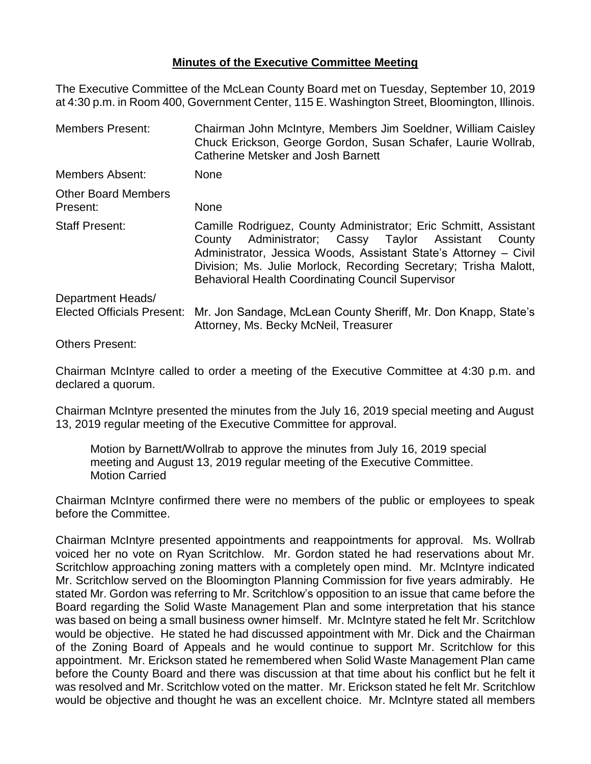## **Minutes of the Executive Committee Meeting**

The Executive Committee of the McLean County Board met on Tuesday, September 10, 2019 at 4:30 p.m. in Room 400, Government Center, 115 E. Washington Street, Bloomington, Illinois.

| <b>Members Present:</b>                | Chairman John McIntyre, Members Jim Soeldner, William Caisley<br>Chuck Erickson, George Gordon, Susan Schafer, Laurie Wollrab,<br><b>Catherine Metsker and Josh Barnett</b>                                                                                                                                                       |
|----------------------------------------|-----------------------------------------------------------------------------------------------------------------------------------------------------------------------------------------------------------------------------------------------------------------------------------------------------------------------------------|
| <b>Members Absent:</b>                 | <b>None</b>                                                                                                                                                                                                                                                                                                                       |
| <b>Other Board Members</b><br>Present: | None                                                                                                                                                                                                                                                                                                                              |
| <b>Staff Present:</b>                  | Camille Rodriguez, County Administrator; Eric Schmitt, Assistant<br>Administrator; Cassy Taylor Assistant<br>County<br>County<br>Administrator, Jessica Woods, Assistant State's Attorney – Civil<br>Division; Ms. Julie Morlock, Recording Secretary; Trisha Malott,<br><b>Behavioral Health Coordinating Council Supervisor</b> |
| Department Heads/                      |                                                                                                                                                                                                                                                                                                                                   |
| <b>Elected Officials Present:</b>      | Mr. Jon Sandage, McLean County Sheriff, Mr. Don Knapp, State's<br>Attorney, Ms. Becky McNeil, Treasurer                                                                                                                                                                                                                           |
| <b>Others Present:</b>                 |                                                                                                                                                                                                                                                                                                                                   |

Chairman McIntyre called to order a meeting of the Executive Committee at 4:30 p.m. and declared a quorum.

Chairman McIntyre presented the minutes from the July 16, 2019 special meeting and August 13, 2019 regular meeting of the Executive Committee for approval.

Motion by Barnett/Wollrab to approve the minutes from July 16, 2019 special meeting and August 13, 2019 regular meeting of the Executive Committee. Motion Carried

Chairman McIntyre confirmed there were no members of the public or employees to speak before the Committee.

Chairman McIntyre presented appointments and reappointments for approval. Ms. Wollrab voiced her no vote on Ryan Scritchlow. Mr. Gordon stated he had reservations about Mr. Scritchlow approaching zoning matters with a completely open mind. Mr. McIntyre indicated Mr. Scritchlow served on the Bloomington Planning Commission for five years admirably. He stated Mr. Gordon was referring to Mr. Scritchlow's opposition to an issue that came before the Board regarding the Solid Waste Management Plan and some interpretation that his stance was based on being a small business owner himself. Mr. McIntyre stated he felt Mr. Scritchlow would be objective. He stated he had discussed appointment with Mr. Dick and the Chairman of the Zoning Board of Appeals and he would continue to support Mr. Scritchlow for this appointment. Mr. Erickson stated he remembered when Solid Waste Management Plan came before the County Board and there was discussion at that time about his conflict but he felt it was resolved and Mr. Scritchlow voted on the matter. Mr. Erickson stated he felt Mr. Scritchlow would be objective and thought he was an excellent choice. Mr. McIntyre stated all members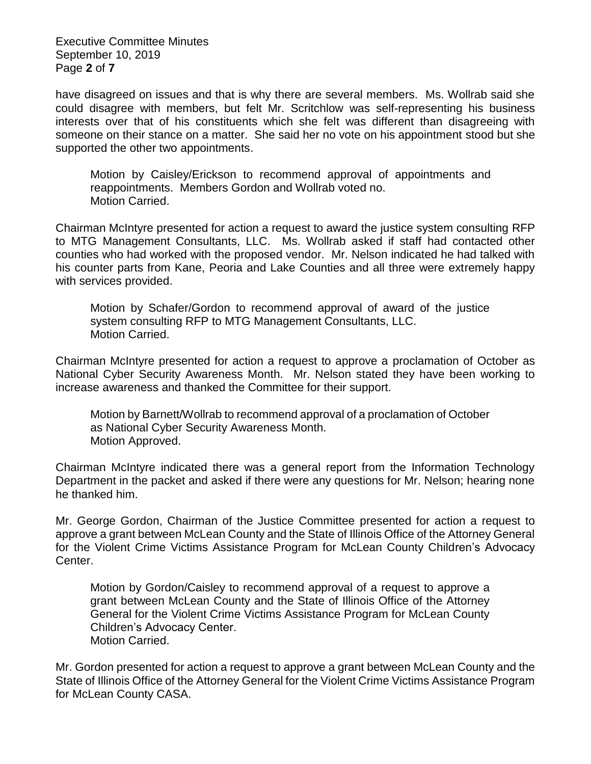Executive Committee Minutes September 10, 2019 Page **2** of **7**

have disagreed on issues and that is why there are several members. Ms. Wollrab said she could disagree with members, but felt Mr. Scritchlow was self-representing his business interests over that of his constituents which she felt was different than disagreeing with someone on their stance on a matter. She said her no vote on his appointment stood but she supported the other two appointments.

Motion by Caisley/Erickson to recommend approval of appointments and reappointments. Members Gordon and Wollrab voted no. Motion Carried.

Chairman McIntyre presented for action a request to award the justice system consulting RFP to MTG Management Consultants, LLC. Ms. Wollrab asked if staff had contacted other counties who had worked with the proposed vendor. Mr. Nelson indicated he had talked with his counter parts from Kane, Peoria and Lake Counties and all three were extremely happy with services provided.

Motion by Schafer/Gordon to recommend approval of award of the justice system consulting RFP to MTG Management Consultants, LLC. Motion Carried.

Chairman McIntyre presented for action a request to approve a proclamation of October as National Cyber Security Awareness Month. Mr. Nelson stated they have been working to increase awareness and thanked the Committee for their support.

Motion by Barnett/Wollrab to recommend approval of a proclamation of October as National Cyber Security Awareness Month. Motion Approved.

Chairman McIntyre indicated there was a general report from the Information Technology Department in the packet and asked if there were any questions for Mr. Nelson; hearing none he thanked him.

Mr. George Gordon, Chairman of the Justice Committee presented for action a request to approve a grant between McLean County and the State of Illinois Office of the Attorney General for the Violent Crime Victims Assistance Program for McLean County Children's Advocacy Center.

Motion by Gordon/Caisley to recommend approval of a request to approve a grant between McLean County and the State of Illinois Office of the Attorney General for the Violent Crime Victims Assistance Program for McLean County Children's Advocacy Center. Motion Carried.

Mr. Gordon presented for action a request to approve a grant between McLean County and the State of Illinois Office of the Attorney General for the Violent Crime Victims Assistance Program for McLean County CASA.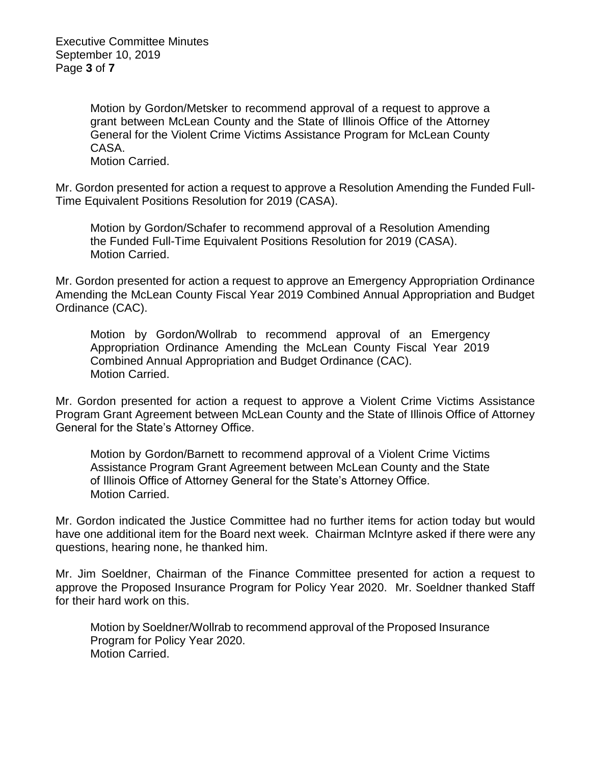Executive Committee Minutes September 10, 2019 Page **3** of **7**

> Motion by Gordon/Metsker to recommend approval of a request to approve a grant between McLean County and the State of Illinois Office of the Attorney General for the Violent Crime Victims Assistance Program for McLean County CASA.

Motion Carried.

Mr. Gordon presented for action a request to approve a Resolution Amending the Funded Full-Time Equivalent Positions Resolution for 2019 (CASA).

Motion by Gordon/Schafer to recommend approval of a Resolution Amending the Funded Full-Time Equivalent Positions Resolution for 2019 (CASA). Motion Carried.

Mr. Gordon presented for action a request to approve an Emergency Appropriation Ordinance Amending the McLean County Fiscal Year 2019 Combined Annual Appropriation and Budget Ordinance (CAC).

Motion by Gordon/Wollrab to recommend approval of an Emergency Appropriation Ordinance Amending the McLean County Fiscal Year 2019 Combined Annual Appropriation and Budget Ordinance (CAC). Motion Carried.

Mr. Gordon presented for action a request to approve a Violent Crime Victims Assistance Program Grant Agreement between McLean County and the State of Illinois Office of Attorney General for the State's Attorney Office.

Motion by Gordon/Barnett to recommend approval of a Violent Crime Victims Assistance Program Grant Agreement between McLean County and the State of Illinois Office of Attorney General for the State's Attorney Office. Motion Carried.

Mr. Gordon indicated the Justice Committee had no further items for action today but would have one additional item for the Board next week. Chairman McIntyre asked if there were any questions, hearing none, he thanked him.

Mr. Jim Soeldner, Chairman of the Finance Committee presented for action a request to approve the Proposed Insurance Program for Policy Year 2020. Mr. Soeldner thanked Staff for their hard work on this.

Motion by Soeldner/Wollrab to recommend approval of the Proposed Insurance Program for Policy Year 2020. Motion Carried.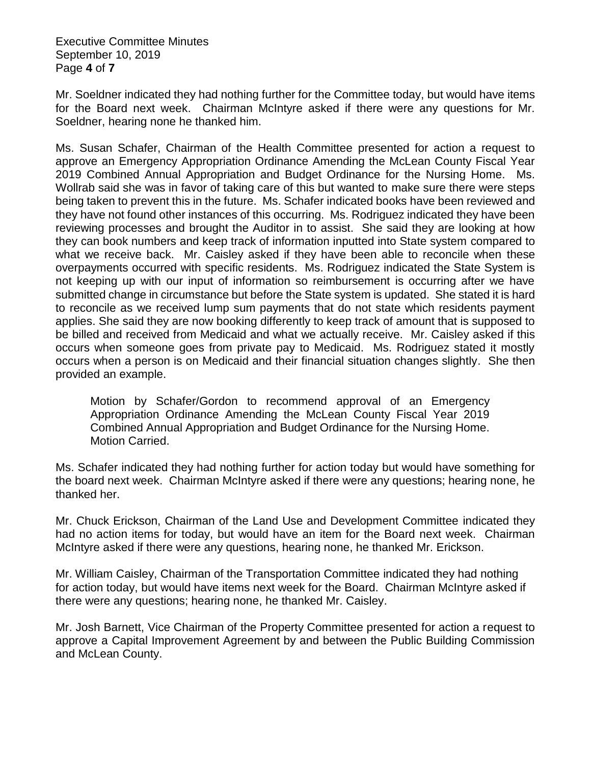Executive Committee Minutes September 10, 2019 Page **4** of **7**

Mr. Soeldner indicated they had nothing further for the Committee today, but would have items for the Board next week. Chairman McIntyre asked if there were any questions for Mr. Soeldner, hearing none he thanked him.

Ms. Susan Schafer, Chairman of the Health Committee presented for action a request to approve an Emergency Appropriation Ordinance Amending the McLean County Fiscal Year 2019 Combined Annual Appropriation and Budget Ordinance for the Nursing Home. Ms. Wollrab said she was in favor of taking care of this but wanted to make sure there were steps being taken to prevent this in the future. Ms. Schafer indicated books have been reviewed and they have not found other instances of this occurring. Ms. Rodriguez indicated they have been reviewing processes and brought the Auditor in to assist. She said they are looking at how they can book numbers and keep track of information inputted into State system compared to what we receive back. Mr. Caisley asked if they have been able to reconcile when these overpayments occurred with specific residents. Ms. Rodriguez indicated the State System is not keeping up with our input of information so reimbursement is occurring after we have submitted change in circumstance but before the State system is updated. She stated it is hard to reconcile as we received lump sum payments that do not state which residents payment applies. She said they are now booking differently to keep track of amount that is supposed to be billed and received from Medicaid and what we actually receive. Mr. Caisley asked if this occurs when someone goes from private pay to Medicaid. Ms. Rodriguez stated it mostly occurs when a person is on Medicaid and their financial situation changes slightly. She then provided an example.

Motion by Schafer/Gordon to recommend approval of an Emergency Appropriation Ordinance Amending the McLean County Fiscal Year 2019 Combined Annual Appropriation and Budget Ordinance for the Nursing Home. Motion Carried.

Ms. Schafer indicated they had nothing further for action today but would have something for the board next week. Chairman McIntyre asked if there were any questions; hearing none, he thanked her.

Mr. Chuck Erickson, Chairman of the Land Use and Development Committee indicated they had no action items for today, but would have an item for the Board next week. Chairman McIntyre asked if there were any questions, hearing none, he thanked Mr. Erickson.

Mr. William Caisley, Chairman of the Transportation Committee indicated they had nothing for action today, but would have items next week for the Board. Chairman McIntyre asked if there were any questions; hearing none, he thanked Mr. Caisley.

Mr. Josh Barnett, Vice Chairman of the Property Committee presented for action a request to approve a Capital Improvement Agreement by and between the Public Building Commission and McLean County.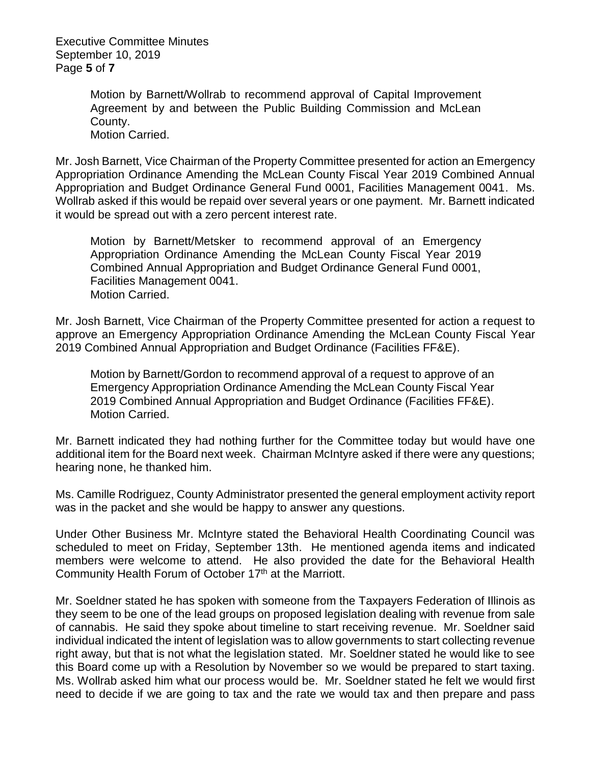Executive Committee Minutes September 10, 2019 Page **5** of **7**

> Motion by Barnett/Wollrab to recommend approval of Capital Improvement Agreement by and between the Public Building Commission and McLean County. Motion Carried.

Mr. Josh Barnett, Vice Chairman of the Property Committee presented for action an Emergency Appropriation Ordinance Amending the McLean County Fiscal Year 2019 Combined Annual Appropriation and Budget Ordinance General Fund 0001, Facilities Management 0041. Ms. Wollrab asked if this would be repaid over several years or one payment. Mr. Barnett indicated it would be spread out with a zero percent interest rate.

Motion by Barnett/Metsker to recommend approval of an Emergency Appropriation Ordinance Amending the McLean County Fiscal Year 2019 Combined Annual Appropriation and Budget Ordinance General Fund 0001, Facilities Management 0041. Motion Carried.

Mr. Josh Barnett, Vice Chairman of the Property Committee presented for action a request to approve an Emergency Appropriation Ordinance Amending the McLean County Fiscal Year 2019 Combined Annual Appropriation and Budget Ordinance (Facilities FF&E).

Motion by Barnett/Gordon to recommend approval of a request to approve of an Emergency Appropriation Ordinance Amending the McLean County Fiscal Year 2019 Combined Annual Appropriation and Budget Ordinance (Facilities FF&E). Motion Carried.

Mr. Barnett indicated they had nothing further for the Committee today but would have one additional item for the Board next week. Chairman McIntyre asked if there were any questions; hearing none, he thanked him.

Ms. Camille Rodriguez, County Administrator presented the general employment activity report was in the packet and she would be happy to answer any questions.

Under Other Business Mr. McIntyre stated the Behavioral Health Coordinating Council was scheduled to meet on Friday, September 13th. He mentioned agenda items and indicated members were welcome to attend. He also provided the date for the Behavioral Health Community Health Forum of October 17<sup>th</sup> at the Marriott.

Mr. Soeldner stated he has spoken with someone from the Taxpayers Federation of Illinois as they seem to be one of the lead groups on proposed legislation dealing with revenue from sale of cannabis. He said they spoke about timeline to start receiving revenue. Mr. Soeldner said individual indicated the intent of legislation was to allow governments to start collecting revenue right away, but that is not what the legislation stated. Mr. Soeldner stated he would like to see this Board come up with a Resolution by November so we would be prepared to start taxing. Ms. Wollrab asked him what our process would be. Mr. Soeldner stated he felt we would first need to decide if we are going to tax and the rate we would tax and then prepare and pass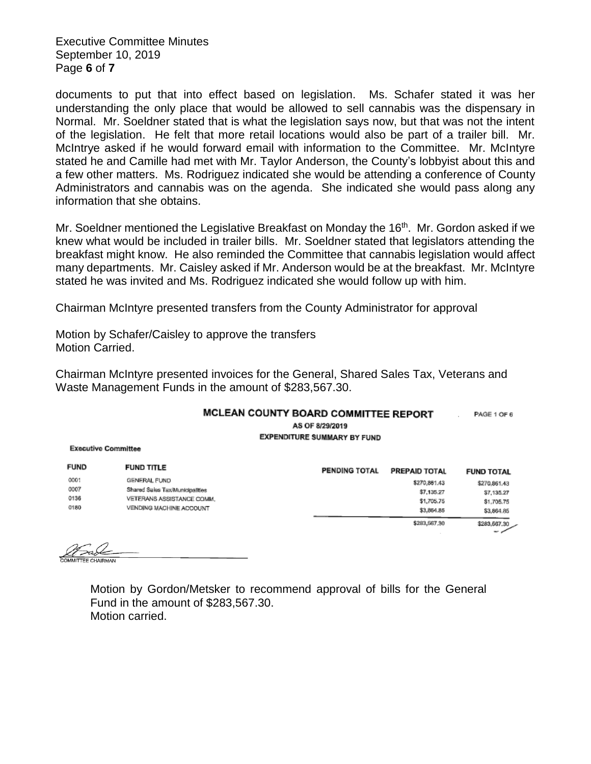Executive Committee Minutes September 10, 2019 Page **6** of **7**

documents to put that into effect based on legislation. Ms. Schafer stated it was her understanding the only place that would be allowed to sell cannabis was the dispensary in Normal. Mr. Soeldner stated that is what the legislation says now, but that was not the intent of the legislation. He felt that more retail locations would also be part of a trailer bill. Mr. McIntrye asked if he would forward email with information to the Committee. Mr. McIntyre stated he and Camille had met with Mr. Taylor Anderson, the County's lobbyist about this and a few other matters. Ms. Rodriguez indicated she would be attending a conference of County Administrators and cannabis was on the agenda. She indicated she would pass along any information that she obtains.

Mr. Soeldner mentioned the Legislative Breakfast on Monday the 16<sup>th</sup>. Mr. Gordon asked if we knew what would be included in trailer bills. Mr. Soeldner stated that legislators attending the breakfast might know. He also reminded the Committee that cannabis legislation would affect many departments. Mr. Caisley asked if Mr. Anderson would be at the breakfast. Mr. McIntyre stated he was invited and Ms. Rodriguez indicated she would follow up with him.

Chairman McIntyre presented transfers from the County Administrator for approval

Motion by Schafer/Caisley to approve the transfers Motion Carried.

Chairman McIntyre presented invoices for the General, Shared Sales Tax, Veterans and Waste Management Funds in the amount of \$283,567.30.

| MCLEAN COUNTY BOARD COMMITTEE REPORT | PAGE 1 OF 6 |
|--------------------------------------|-------------|
| AS OF 8/29/2019                      |             |
| <b>EXPENDITURE SUMMARY BY FUND</b>   |             |

**Executive Committee** 

|      | <b>FUND</b> | <b>FUND TITLE</b>               | <b>PENDING TOTAL</b> | PREPAID TOTAL | <b>FUND TOTAL</b> |
|------|-------------|---------------------------------|----------------------|---------------|-------------------|
|      | 0001        | GENERAL FUND                    |                      | \$270,861,43  | \$270,861,43      |
|      | 0007        | Shared Sales Tax/Municipalities |                      | \$7,135.27    | \$7,135.27        |
|      | 0136        | VETERANS ASSISTANCE COMM.       |                      | \$1,705.75    | \$1,705.75        |
| 0180 |             | VENDING MACHINE ACCOUNT         |                      | \$3,864.85    | \$3,864.85        |
|      |             |                                 |                      | \$283,567.30  | \$283,667.30      |
|      |             |                                 |                      |               | - -               |

Motion by Gordon/Metsker to recommend approval of bills for the General Fund in the amount of \$283,567.30. Motion carried.